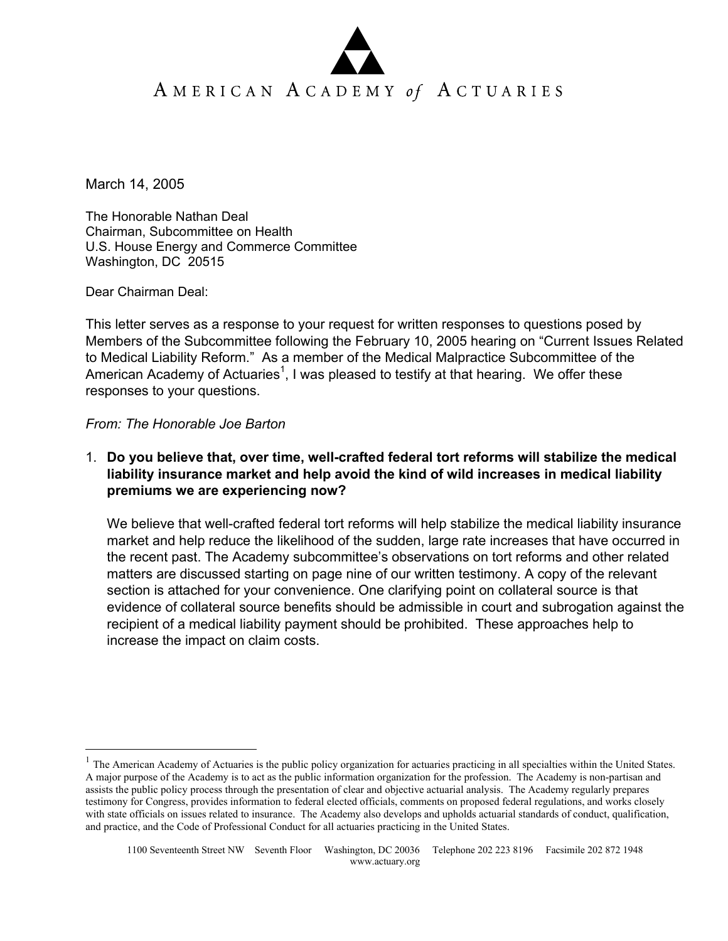March 14, 2005

The Honorable Nathan Deal Chairman, Subcommittee on Health U.S. House Energy and Commerce Committee Washington, DC 20515

Dear Chairman Deal:

 $\overline{a}$ 

This letter serves as a response to your request for written responses to questions posed by Members of the Subcommittee following the February 10, 2005 hearing on "Current Issues Related to Medical Liability Reform." As a member of the Medical Malpractice Subcommittee of the American Academy of Actuaries<sup>1</sup>, I was pleased to testify at that hearing. We offer these responses to your questions.

#### *From: The Honorable Joe Barton*

1. **Do you believe that, over time, well-crafted federal tort reforms will stabilize the medical liability insurance market and help avoid the kind of wild increases in medical liability premiums we are experiencing now?**

We believe that well-crafted federal tort reforms will help stabilize the medical liability insurance market and help reduce the likelihood of the sudden, large rate increases that have occurred in the recent past. The Academy subcommittee's observations on tort reforms and other related matters are discussed starting on page nine of our written testimony. A copy of the relevant section is attached for your convenience. One clarifying point on collateral source is that evidence of collateral source benefits should be admissible in court and subrogation against the recipient of a medical liability payment should be prohibited. These approaches help to increase the impact on claim costs.

<sup>1</sup> The American Academy of Actuaries is the public policy organization for actuaries practicing in all specialties within the United States. A major purpose of the Academy is to act as the public information organization for the profession. The Academy is non-partisan and assists the public policy process through the presentation of clear and objective actuarial analysis. The Academy regularly prepares testimony for Congress, provides information to federal elected officials, comments on proposed federal regulations, and works closely with state officials on issues related to insurance. The Academy also develops and upholds actuarial standards of conduct, qualification, and practice, and the Code of Professional Conduct for all actuaries practicing in the United States.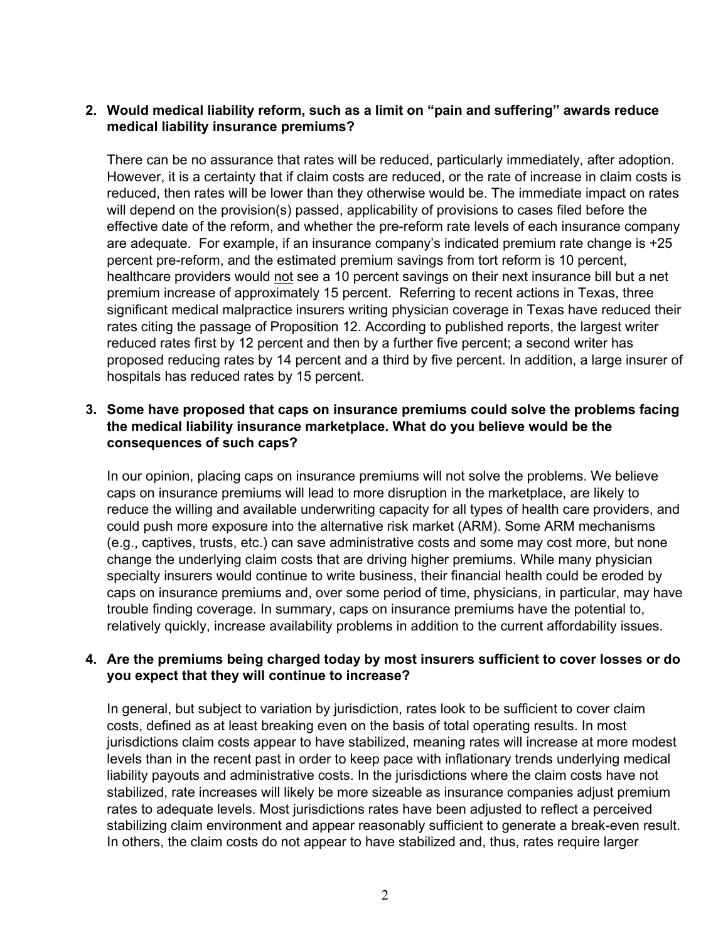# **2. Would medical liability reform, such as a limit on "pain and suffering" awards reduce medical liability insurance premiums?**

There can be no assurance that rates will be reduced, particularly immediately, after adoption. However, it is a certainty that if claim costs are reduced, or the rate of increase in claim costs is reduced, then rates will be lower than they otherwise would be. The immediate impact on rates will depend on the provision(s) passed, applicability of provisions to cases filed before the effective date of the reform, and whether the pre-reform rate levels of each insurance company are adequate. For example, if an insurance company's indicated premium rate change is +25 percent pre-reform, and the estimated premium savings from tort reform is 10 percent, healthcare providers would not see a 10 percent savings on their next insurance bill but a net premium increase of approximately 15 percent. Referring to recent actions in Texas, three significant medical malpractice insurers writing physician coverage in Texas have reduced their rates citing the passage of Proposition 12. According to published reports, the largest writer reduced rates first by 12 percent and then by a further five percent; a second writer has proposed reducing rates by 14 percent and a third by five percent. In addition, a large insurer of hospitals has reduced rates by 15 percent.

# **3. Some have proposed that caps on insurance premiums could solve the problems facing the medical liability insurance marketplace. What do you believe would be the consequences of such caps?**

In our opinion, placing caps on insurance premiums will not solve the problems. We believe caps on insurance premiums will lead to more disruption in the marketplace, are likely to reduce the willing and available underwriting capacity for all types of health care providers, and could push more exposure into the alternative risk market (ARM). Some ARM mechanisms (e.g., captives, trusts, etc.) can save administrative costs and some may cost more, but none change the underlying claim costs that are driving higher premiums. While many physician specialty insurers would continue to write business, their financial health could be eroded by caps on insurance premiums and, over some period of time, physicians, in particular, may have trouble finding coverage. In summary, caps on insurance premiums have the potential to, relatively quickly, increase availability problems in addition to the current affordability issues.

#### **4. Are the premiums being charged today by most insurers sufficient to cover losses or do you expect that they will continue to increase?**

In general, but subject to variation by jurisdiction, rates look to be sufficient to cover claim costs, defined as at least breaking even on the basis of total operating results. In most jurisdictions claim costs appear to have stabilized, meaning rates will increase at more modest levels than in the recent past in order to keep pace with inflationary trends underlying medical liability payouts and administrative costs. In the jurisdictions where the claim costs have not stabilized, rate increases will likely be more sizeable as insurance companies adjust premium rates to adequate levels. Most jurisdictions rates have been adjusted to reflect a perceived stabilizing claim environment and appear reasonably sufficient to generate a break-even result. In others, the claim costs do not appear to have stabilized and, thus, rates require larger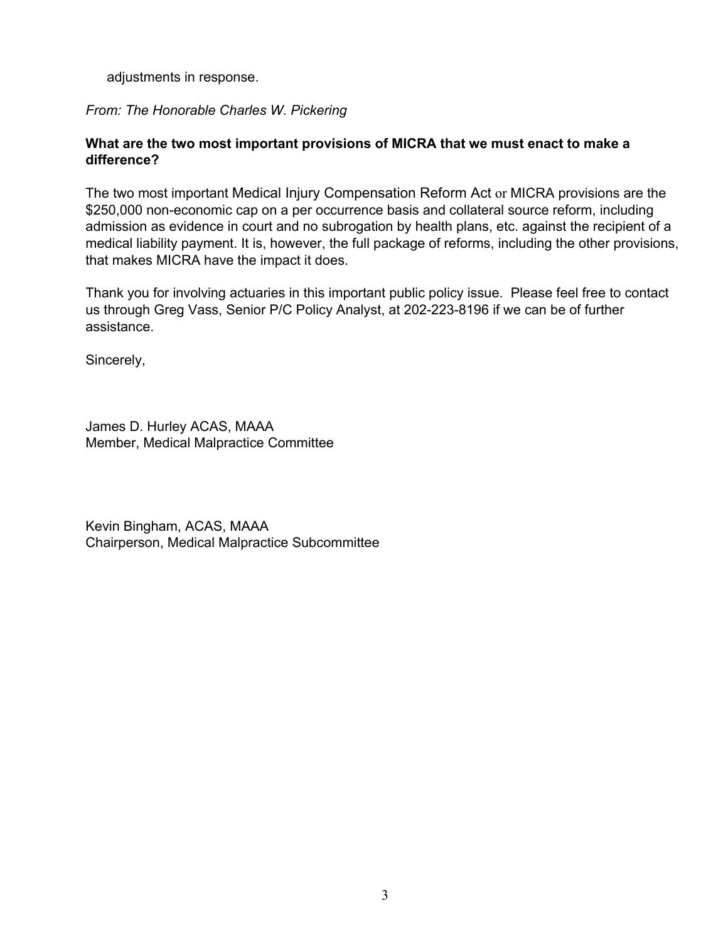adjustments in response.

# *From: The Honorable Charles W. Pickering*

# **What are the two most important provisions of MICRA that we must enact to make a difference?**

The two most important Medical Injury Compensation Reform Act or MICRA provisions are the \$250,000 non-economic cap on a per occurrence basis and collateral source reform, including admission as evidence in court and no subrogation by health plans, etc. against the recipient of a medical liability payment. It is, however, the full package of reforms, including the other provisions, that makes MICRA have the impact it does.

Thank you for involving actuaries in this important public policy issue. Please feel free to contact us through Greg Vass, Senior P/C Policy Analyst, at 202-223-8196 if we can be of further assistance.

Sincerely,

James D. Hurley ACAS, MAAA Member, Medical Malpractice Committee

Kevin Bingham, ACAS, MAAA Chairperson, Medical Malpractice Subcommittee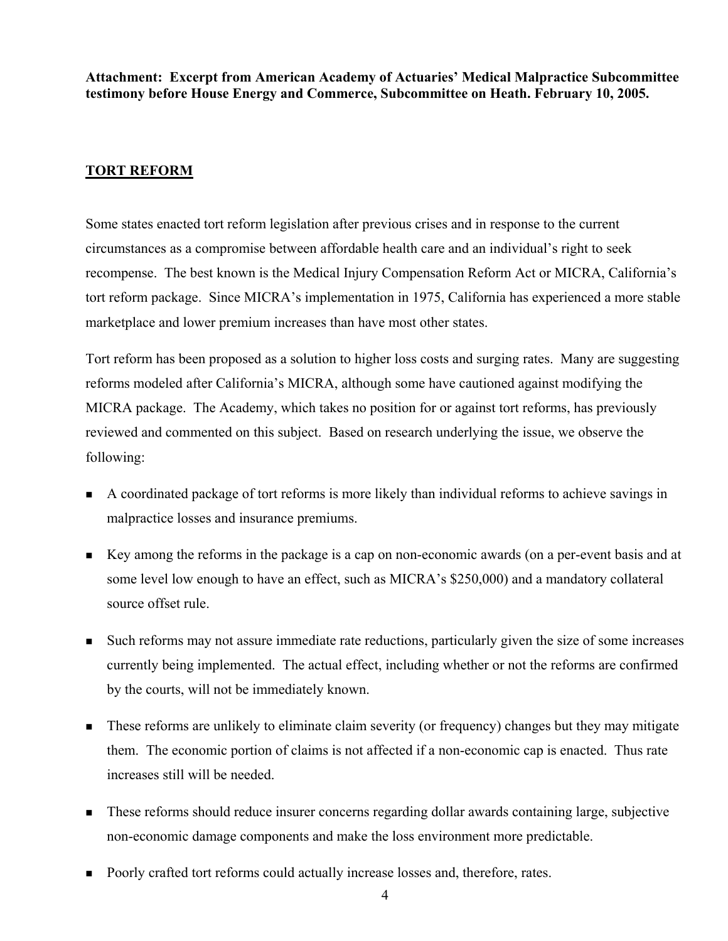**Attachment: Excerpt from American Academy of Actuaries' Medical Malpractice Subcommittee testimony before House Energy and Commerce, Subcommittee on Heath. February 10, 2005.** 

# **TORT REFORM**

Some states enacted tort reform legislation after previous crises and in response to the current circumstances as a compromise between affordable health care and an individual's right to seek recompense. The best known is the Medical Injury Compensation Reform Act or MICRA, California's tort reform package. Since MICRA's implementation in 1975, California has experienced a more stable marketplace and lower premium increases than have most other states.

Tort reform has been proposed as a solution to higher loss costs and surging rates. Many are suggesting reforms modeled after California's MICRA, although some have cautioned against modifying the MICRA package. The Academy, which takes no position for or against tort reforms, has previously reviewed and commented on this subject. Based on research underlying the issue, we observe the following:

- A coordinated package of tort reforms is more likely than individual reforms to achieve savings in malpractice losses and insurance premiums.
- Key among the reforms in the package is a cap on non-economic awards (on a per-event basis and at some level low enough to have an effect, such as MICRA's \$250,000) and a mandatory collateral source offset rule.
- Such reforms may not assure immediate rate reductions, particularly given the size of some increases currently being implemented. The actual effect, including whether or not the reforms are confirmed by the courts, will not be immediately known.
- These reforms are unlikely to eliminate claim severity (or frequency) changes but they may mitigate them. The economic portion of claims is not affected if a non-economic cap is enacted. Thus rate increases still will be needed.
- These reforms should reduce insurer concerns regarding dollar awards containing large, subjective non-economic damage components and make the loss environment more predictable.
- **Poorly crafted tort reforms could actually increase losses and, therefore, rates.**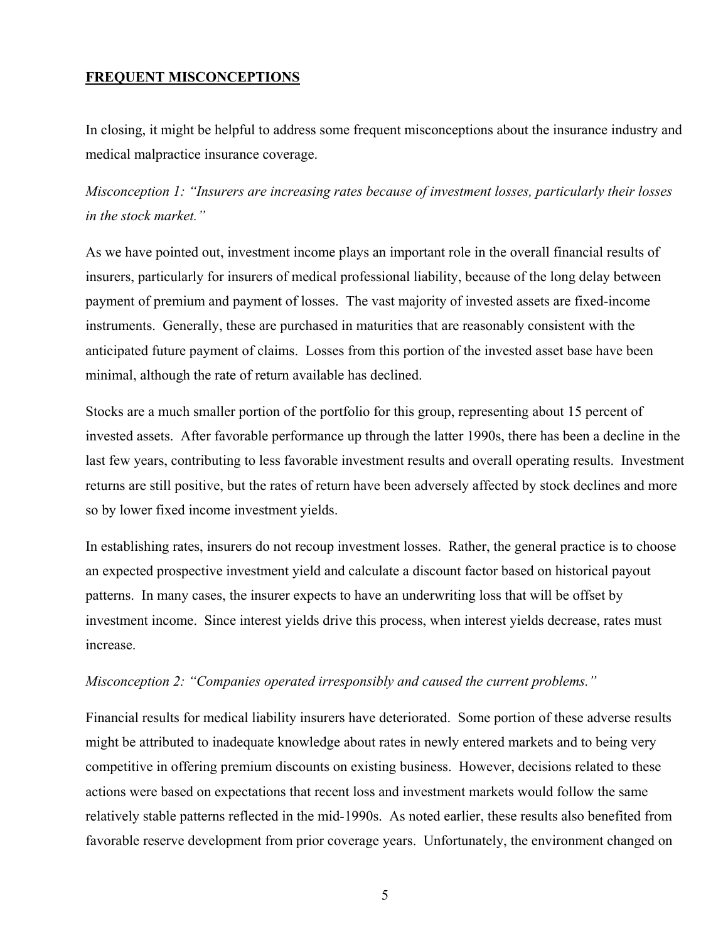#### **FREQUENT MISCONCEPTIONS**

In closing, it might be helpful to address some frequent misconceptions about the insurance industry and medical malpractice insurance coverage.

*Misconception 1: "Insurers are increasing rates because of investment losses, particularly their losses in the stock market."* 

As we have pointed out, investment income plays an important role in the overall financial results of insurers, particularly for insurers of medical professional liability, because of the long delay between payment of premium and payment of losses. The vast majority of invested assets are fixed-income instruments. Generally, these are purchased in maturities that are reasonably consistent with the anticipated future payment of claims. Losses from this portion of the invested asset base have been minimal, although the rate of return available has declined.

Stocks are a much smaller portion of the portfolio for this group, representing about 15 percent of invested assets. After favorable performance up through the latter 1990s, there has been a decline in the last few years, contributing to less favorable investment results and overall operating results. Investment returns are still positive, but the rates of return have been adversely affected by stock declines and more so by lower fixed income investment yields.

In establishing rates, insurers do not recoup investment losses. Rather, the general practice is to choose an expected prospective investment yield and calculate a discount factor based on historical payout patterns. In many cases, the insurer expects to have an underwriting loss that will be offset by investment income. Since interest yields drive this process, when interest yields decrease, rates must increase.

#### *Misconception 2: "Companies operated irresponsibly and caused the current problems."*

Financial results for medical liability insurers have deteriorated. Some portion of these adverse results might be attributed to inadequate knowledge about rates in newly entered markets and to being very competitive in offering premium discounts on existing business. However, decisions related to these actions were based on expectations that recent loss and investment markets would follow the same relatively stable patterns reflected in the mid-1990s. As noted earlier, these results also benefited from favorable reserve development from prior coverage years. Unfortunately, the environment changed on